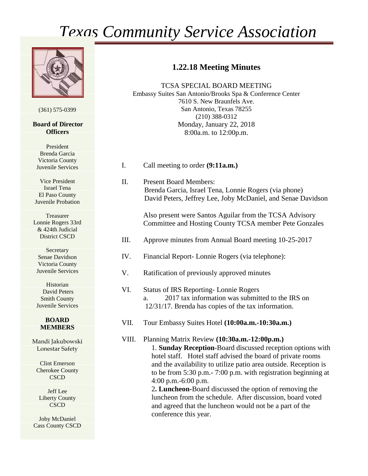# *Texas Community Service Association*



(361) 575-0399

#### **Board of Director Officers**

President Brenda Garcia Victoria County Juvenile Services

Vice President Israel Tena El Paso County Juvenile Probation

Treasurer Lonnie Rogers 33rd & 424th Judicial District CSCD

**Secretary** Senae Davidson Victoria County Juvenile Services

Historian David Peters Smith County Juvenile Services

### **BOARD MEMBERS**

Mandi Jakubowski Lonestar Safety

Clint Emerson Cherokee County **CSCD** 

Jeff Lee Liberty County **CSCD** 

Joby McDaniel Cass County CSCD

### **1.22.18 Meeting Minutes**

TCSA SPECIAL BOARD MEETING Embassy Suites San Antonio/Brooks Spa & Conference Center 7610 S. New Braunfels Ave. San Antonio, Texas 78255 (210) 388-0312 Monday, January 22, 2018 8:00a.m. to 12:00p.m.

- I. Call meeting to order **(9:11a.m.)**
- II. Present Board Members: Brenda Garcia, Israel Tena, Lonnie Rogers (via phone) David Peters, Jeffrey Lee, Joby McDaniel, and Senae Davidson

Also present were Santos Aguilar from the TCSA Advisory Committee and Hosting County TCSA member Pete Gonzales

- III. Approve minutes from Annual Board meeting 10-25-2017
- IV. Financial Report- Lonnie Rogers (via telephone):
- V. Ratification of previously approved minutes
- VI. Status of IRS Reporting- Lonnie Rogers a. 2017 tax information was submitted to the IRS on 12/31/17. Brenda has copies of the tax information.
- VII. Tour Embassy Suites Hotel **(10:00a.m.-10:30a.m.)**

VIII. Planning Matrix Review **(10:30a.m.-12:00p.m.)** 1. **Sunday Reception**-Board discussed reception options with hotel staff. Hotel staff advised the board of private rooms and the availability to utilize patio area outside. Reception is to be from 5:30 p.m.- 7:00 p.m. with registration beginning at 4:00 p.m.-6:00 p.m.

> 2**. Luncheon-**Board discussed the option of removing the luncheon from the schedule. After discussion, board voted and agreed that the luncheon would not be a part of the conference this year.